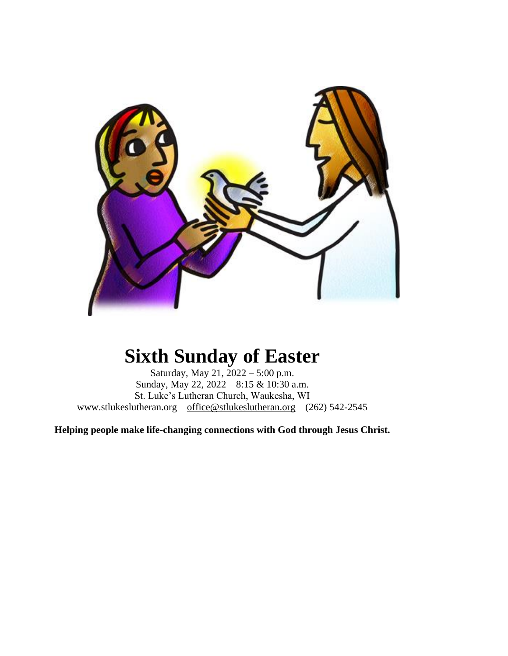

# **Sixth Sunday of Easter**

Saturday, May 21, 2022 – 5:00 p.m. Sunday, May 22, 2022 – 8:15 & 10:30 a.m. St. Luke's Lutheran Church, Waukesha, WI www.stlukeslutheran.org [office@stlukeslutheran.org](mailto:office@stlukeslutheran.org) (262) 542-2545

**Helping people make life-changing connections with God through Jesus Christ.**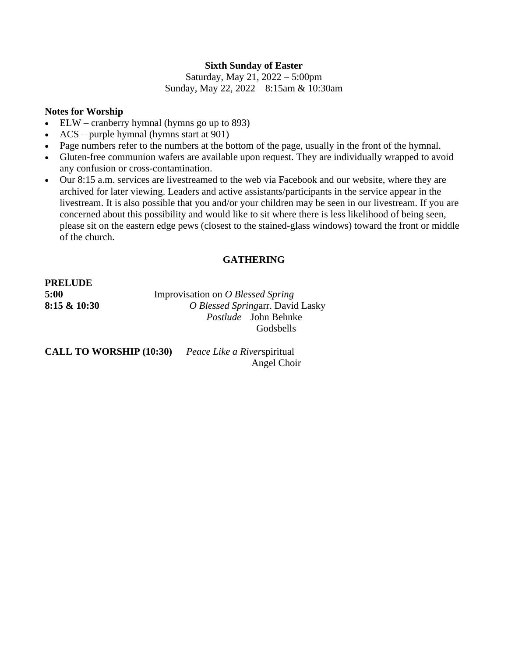# **Sixth Sunday of Easter**

Saturday, May 21, 2022 – 5:00pm Sunday, May 22, 2022 – 8:15am & 10:30am

### **Notes for Worship**

- ELW cranberry hymnal (hymns go up to 893)
- ACS purple hymnal (hymns start at 901)
- Page numbers refer to the numbers at the bottom of the page, usually in the front of the hymnal.
- Gluten-free communion wafers are available upon request. They are individually wrapped to avoid any confusion or cross-contamination.
- Our 8:15 a.m. services are livestreamed to the web via Facebook and our website, where they are archived for later viewing. Leaders and active assistants/participants in the service appear in the livestream. It is also possible that you and/or your children may be seen in our livestream. If you are concerned about this possibility and would like to sit where there is less likelihood of being seen, please sit on the eastern edge pews (closest to the stained-glass windows) toward the front or middle of the church.

# **GATHERING**

**PRELUDE** 

**5:00** Improvisation on *O Blessed Spring* **8:15 & 10:30** *O Blessed Spring*arr. David Lasky *Postlude* John Behnke **Godsbells** 

**CALL TO WORSHIP (10:30)** *Peace Like a River*spiritual

Angel Choir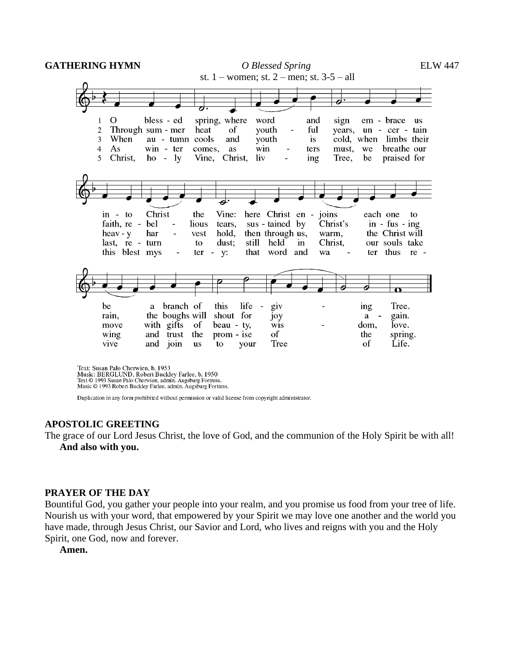**GATHERING HYMN** *O Blessed Spring* ELW 447



Text: Susan Palo Cherwien, b. 1953 Music: BERGLUND, Robert Buckley Farlee, b. 1950 Text © 1993 Susan Palo Cherwien, admin. Augsburg Fortress. Music © 1993 Robert Buckley Farlee, admin. Augsburg Fortress.

Duplication in any form prohibited without permission or valid license from copyright administrator.

#### **APOSTOLIC GREETING**

The grace of our Lord Jesus Christ, the love of God, and the communion of the Holy Spirit be with all! **And also with you.**

#### **PRAYER OF THE DAY**

Bountiful God, you gather your people into your realm, and you promise us food from your tree of life. Nourish us with your word, that empowered by your Spirit we may love one another and the world you have made, through Jesus Christ, our Savior and Lord, who lives and reigns with you and the Holy Spirit, one God, now and forever.

**Amen.**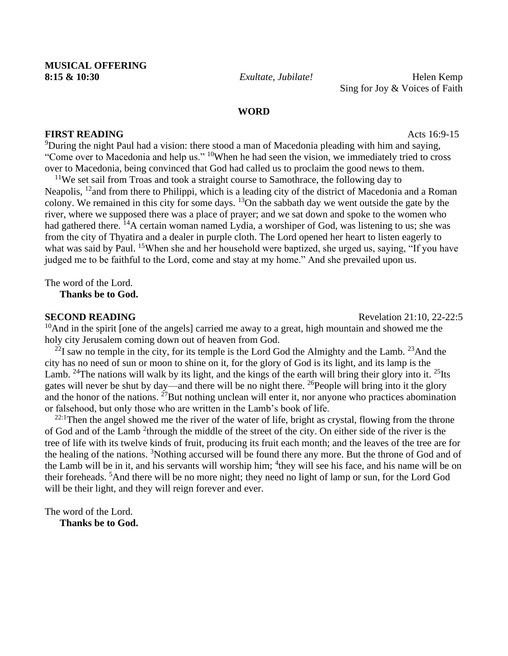Sing for Joy & Voices of Faith

#### **WORD**

#### **FIRST READING** Acts 16:9-15

<sup>9</sup>During the night Paul had a vision: there stood a man of Macedonia pleading with him and saying, "Come over to Macedonia and help us." <sup>10</sup>When he had seen the vision, we immediately tried to cross over to Macedonia, being convinced that God had called us to proclaim the good news to them.

 $11$ We set sail from Troas and took a straight course to Samothrace, the following day to Neapolis, <sup>12</sup> and from there to Philippi, which is a leading city of the district of Macedonia and a Roman colony. We remained in this city for some days. <sup>13</sup>On the sabbath day we went outside the gate by the river, where we supposed there was a place of prayer; and we sat down and spoke to the women who had gathered there. <sup>14</sup>A certain woman named Lydia, a worshiper of God, was listening to us; she was from the city of Thyatira and a dealer in purple cloth. The Lord opened her heart to listen eagerly to what was said by Paul. <sup>15</sup>When she and her household were baptized, she urged us, saying, "If you have judged me to be faithful to the Lord, come and stay at my home." And she prevailed upon us.

The word of the Lord. **Thanks be to God.**

**SECOND READING** Revelation 21:10, 22-22:5

 $10$ And in the spirit [one of the angels] carried me away to a great, high mountain and showed me the holy city Jerusalem coming down out of heaven from God.

 $^{22}$ I saw no temple in the city, for its temple is the Lord God the Almighty and the Lamb.  $^{23}$ And the city has no need of sun or moon to shine on it, for the glory of God is its light, and its lamp is the Lamb. <sup>24</sup>The nations will walk by its light, and the kings of the earth will bring their glory into it. <sup>25</sup>Its gates will never be shut by day—and there will be no night there. <sup>26</sup>People will bring into it the glory and the honor of the nations.  $^{27}$ But nothing unclean will enter it, nor anyone who practices abomination or falsehood, but only those who are written in the Lamb's book of life.

 $22:1$ Then the angel showed me the river of the water of life, bright as crystal, flowing from the throne of God and of the Lamb<sup>2</sup> through the middle of the street of the city. On either side of the river is the tree of life with its twelve kinds of fruit, producing its fruit each month; and the leaves of the tree are for the healing of the nations. <sup>3</sup>Nothing accursed will be found there any more. But the throne of God and of the Lamb will be in it, and his servants will worship him; <sup>4</sup>they will see his face, and his name will be on their foreheads. <sup>5</sup>And there will be no more night; they need no light of lamp or sun, for the Lord God will be their light, and they will reign forever and ever.

The word of the Lord. **Thanks be to God.**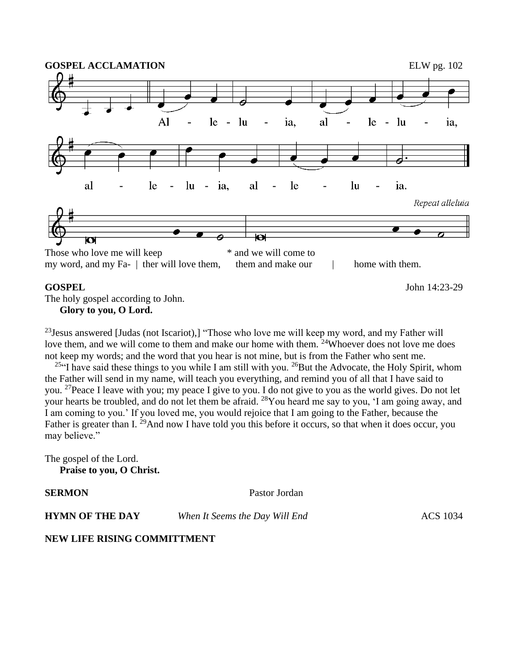

#### **GOSPEL** John 14:23-29

The holy gospel according to John. **Glory to you, O Lord.**

 $^{23}$ Jesus answered [Judas (not Iscariot),] "Those who love me will keep my word, and my Father will love them, and we will come to them and make our home with them. <sup>24</sup>Whoever does not love me does not keep my words; and the word that you hear is not mine, but is from the Father who sent me.

<sup>25"</sup>I have said these things to you while I am still with you. <sup>26</sup>But the Advocate, the Holy Spirit, whom the Father will send in my name, will teach you everything, and remind you of all that I have said to you. <sup>27</sup>Peace I leave with you; my peace I give to you. I do not give to you as the world gives. Do not let your hearts be troubled, and do not let them be afraid. <sup>28</sup>You heard me say to you, 'I am going away, and I am coming to you.' If you loved me, you would rejoice that I am going to the Father, because the Father is greater than I. <sup>29</sup>And now I have told you this before it occurs, so that when it does occur, you may believe."

The gospel of the Lord. **Praise to you, O Christ.**

**SERMON** Pastor Jordan

**HYMN OF THE DAY** *When It Seems the Day Will End* **ACS** 1034

**NEW LIFE RISING COMMITTMENT**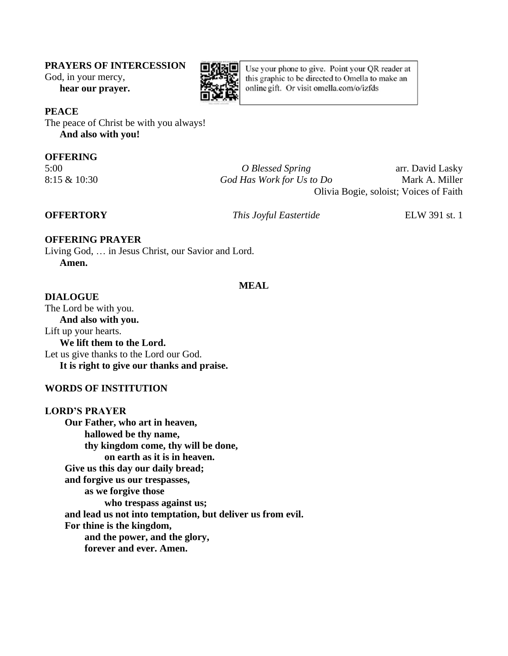#### **PRAYERS OF INTERCESSION**

God, in your mercy,

**hear our prayer.**



Use your phone to give. Point your QR reader at this graphic to be directed to Omella to make an online gift. Or visit omella.com/o/izfds

# **PEACE**

The peace of Christ be with you always! **And also with you!**

### **OFFERING**

5:00 *O Blessed Spring* arr. David Lasky 8:15 & 10:30 *God Has Work for Us to Do* Mark A. Miller Olivia Bogie, soloist; Voices of Faith

**OFFERTORY** *This Joyful Eastertide* ELW 391 st. 1

# **OFFERING PRAYER**

Living God, … in Jesus Christ, our Savior and Lord. **Amen.**

#### **MEAL**

**DIALOGUE**  The Lord be with you. **And also with you.** Lift up your hearts. **We lift them to the Lord.** Let us give thanks to the Lord our God. **It is right to give our thanks and praise.**

### **WORDS OF INSTITUTION**

**LORD'S PRAYER Our Father, who art in heaven, hallowed be thy name, thy kingdom come, thy will be done, on earth as it is in heaven. Give us this day our daily bread; and forgive us our trespasses, as we forgive those who trespass against us; and lead us not into temptation, but deliver us from evil. For thine is the kingdom, and the power, and the glory, forever and ever. Amen.**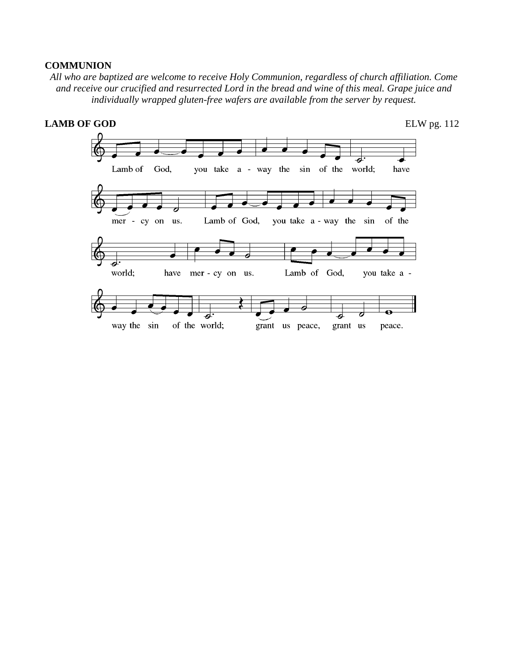#### **COMMUNION**

*All who are baptized are welcome to receive Holy Communion, regardless of church affiliation. Come and receive our crucified and resurrected Lord in the bread and wine of this meal. Grape juice and individually wrapped gluten-free wafers are available from the server by request.*

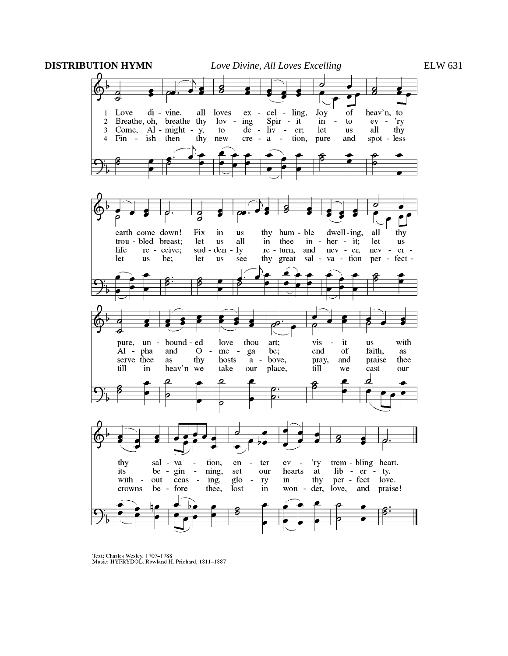

Text: Charles Wesley, 1707-1788<br>Music: HYFRYDOL, Rowland H. Prichard, 1811-1887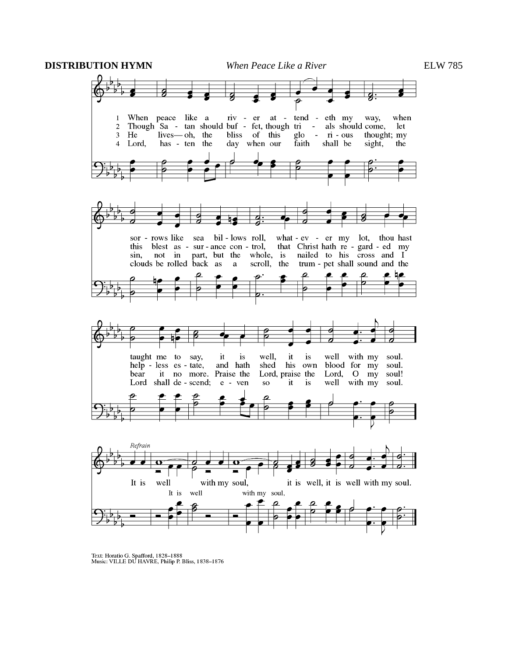**DISTRIBUTION HYMN** *When Peace Like a River* ELW 785



Text: Horatio G. Spafford, 1828-1888<br>Music: VILLE DU HAVRE, Philip P. Bliss, 1838-1876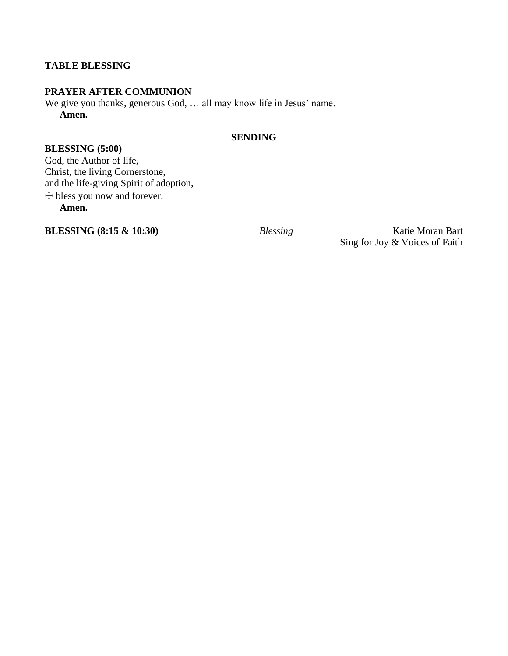# **TABLE BLESSING**

# **PRAYER AFTER COMMUNION**

We give you thanks, generous God, … all may know life in Jesus' name. **Amen.**

# **SENDING**

**BLESSING (5:00)** God, the Author of life, Christ, the living Cornerstone, and the life-giving Spirit of adoption, ☩ bless you now and forever. **Amen.**

**BLESSING (8:15 & 10:30)** *Blessing* Katie Moran Bart Sing for Joy & Voices of Faith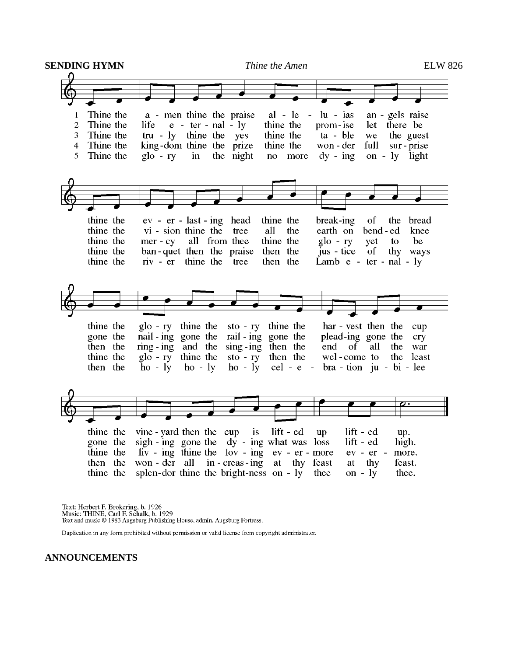

Text: Herbert F. Brokering, b. 1926 Music: THINE, Carl F. Schalk, b. 1929 Text and music © 1983 Augsburg Publishing House, admin. Augsburg Fortress.

Duplication in any form prohibited without permission or valid license from copyright administrator.

**ANNOUNCEMENTS**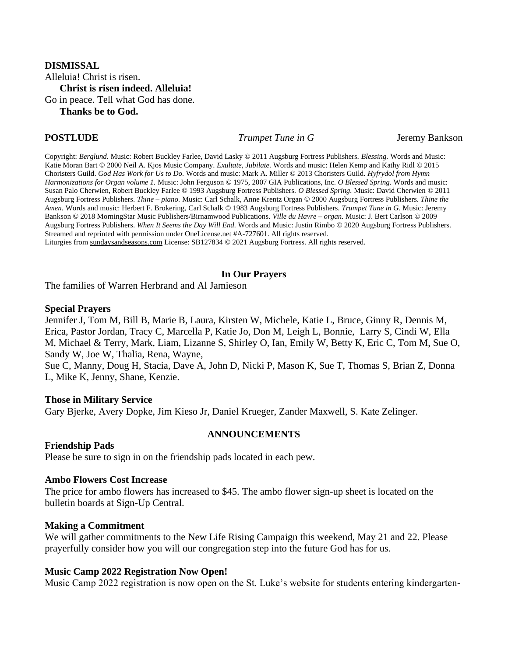# **DISMISSAL** Alleluia! Christ is risen. **Christ is risen indeed. Alleluia!** Go in peace. Tell what God has done. **Thanks be to God.**

**POSTLUDE** *Trumpet Tune in G* Jeremy Bankson

Copyright: *Berglund.* Music: Robert Buckley Farlee, David Lasky © 2011 Augsburg Fortress Publishers. *Blessing.* Words and Music: Katie Moran Bart © 2000 Neil A. Kjos Music Company. *Exultate, Jubilate.* Words and music: Helen Kemp and Kathy Ridl © 2015 Choristers Guild. *God Has Work for Us to Do.* Words and music: Mark A. Miller © 2013 Choristers Guild. *Hyfrydol from Hymn Harmonizations for Organ volume 1.* Music: John Ferguson © 1975, 2007 GIA Publications, Inc. *O Blessed Spring.* Words and music: Susan Palo Cherwien, Robert Buckley Farlee © 1993 Augsburg Fortress Publishers. *O Blessed Spring.* Music: David Cherwien © 2011 Augsburg Fortress Publishers. *Thine – piano.* Music: Carl Schalk, Anne Krentz Organ © 2000 Augsburg Fortress Publishers. *Thine the Amen.* Words and music: Herbert F. Brokering, Carl Schalk © 1983 Augsburg Fortress Publishers. *Trumpet Tune in G.* Music: Jeremy Bankson © 2018 MorningStar Music Publishers/Birnamwood Publications. *Ville du Havre – organ.* Music: J. Bert Carlson © 2009 Augsburg Fortress Publishers. *When It Seems the Day Will End.* Words and Music: Justin Rimbo © 2020 Augsburg Fortress Publishers. Streamed and reprinted with permission under OneLicense.net #A-727601. All rights reserved. Liturgies from [sundaysandseasons.com](http://sundaysandseasons.com/) License: SB127834 © 2021 Augsburg Fortress. All rights reserved.

#### **In Our Prayers**

The families of Warren Herbrand and Al Jamieson

#### **Special Prayers**

Jennifer J, Tom M, Bill B, Marie B, Laura, Kirsten W, Michele, Katie L, Bruce, Ginny R, Dennis M, Erica, Pastor Jordan, Tracy C, Marcella P, Katie Jo, Don M, Leigh L, Bonnie, Larry S, Cindi W, Ella M, Michael & Terry, Mark, Liam, Lizanne S, Shirley O, Ian, Emily W, Betty K, Eric C, Tom M, Sue O, Sandy W, Joe W, Thalia, Rena, Wayne,

Sue C, Manny, Doug H, Stacia, Dave A, John D, Nicki P, Mason K, Sue T, Thomas S, Brian Z, Donna L, Mike K, Jenny, Shane, Kenzie.

#### **Those in Military Service**

Gary Bjerke, Avery Dopke, Jim Kieso Jr, Daniel Krueger, Zander Maxwell, S. Kate Zelinger.

#### **ANNOUNCEMENTS**

#### **Friendship Pads**

Please be sure to sign in on the friendship pads located in each pew.

#### **Ambo Flowers Cost Increase**

The price for ambo flowers has increased to \$45. The ambo flower sign-up sheet is located on the bulletin boards at Sign-Up Central.

#### **Making a Commitment**

We will gather commitments to the New Life Rising Campaign this weekend, May 21 and 22. Please prayerfully consider how you will our congregation step into the future God has for us.

#### **Music Camp 2022 Registration Now Open!**

Music Camp 2022 registration is now open on the St. Luke's website for students entering kindergarten-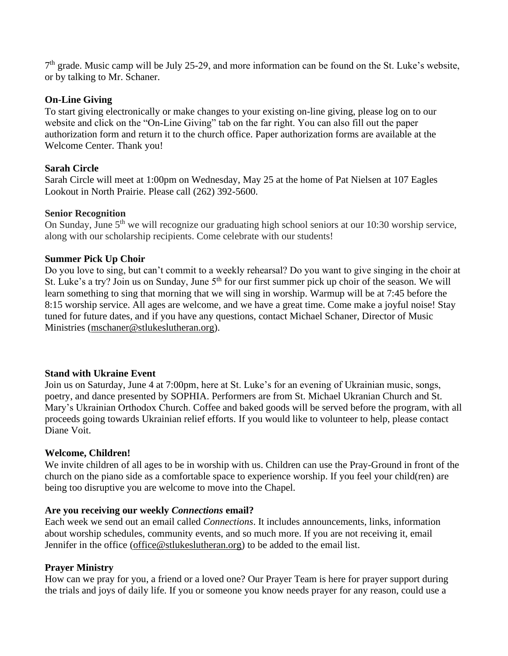7<sup>th</sup> grade. Music camp will be July 25-29, and more information can be found on the St. Luke's website, or by talking to Mr. Schaner.

# **On-Line Giving**

To start giving electronically or make changes to your existing on-line giving, please log on to our website and click on the "On-Line Giving" tab on the far right. You can also fill out the paper authorization form and return it to the church office. Paper authorization forms are available at the Welcome Center. Thank you!

# **Sarah Circle**

Sarah Circle will meet at 1:00pm on Wednesday, May 25 at the home of Pat Nielsen at 107 Eagles Lookout in North Prairie. Please call (262) 392-5600.

#### **Senior Recognition**

On Sunday, June 5<sup>th</sup> we will recognize our graduating high school seniors at our 10:30 worship service, along with our scholarship recipients. Come celebrate with our students!

# **Summer Pick Up Choir**

Do you love to sing, but can't commit to a weekly rehearsal? Do you want to give singing in the choir at St. Luke's a try? Join us on Sunday, June 5<sup>th</sup> for our first summer pick up choir of the season. We will learn something to sing that morning that we will sing in worship. Warmup will be at 7:45 before the 8:15 worship service. All ages are welcome, and we have a great time. Come make a joyful noise! Stay tuned for future dates, and if you have any questions, contact Michael Schaner, Director of Music Ministries [\(mschaner@stlukeslutheran.org\)](mailto:mschaner@stlukeslutheran.org).

#### **Stand with Ukraine Event**

Join us on Saturday, June 4 at 7:00pm, here at St. Luke's for an evening of Ukrainian music, songs, poetry, and dance presented by SOPHIA. Performers are from St. Michael Ukranian Church and St. Mary's Ukrainian Orthodox Church. Coffee and baked goods will be served before the program, with all proceeds going towards Ukrainian relief efforts. If you would like to volunteer to help, please contact Diane Voit.

# **Welcome, Children!**

We invite children of all ages to be in worship with us. Children can use the Pray-Ground in front of the church on the piano side as a comfortable space to experience worship. If you feel your child(ren) are being too disruptive you are welcome to move into the Chapel.

#### **Are you receiving our weekly** *Connections* **email?**

Each week we send out an email called *Connections*. It includes announcements, links, information about worship schedules, community events, and so much more. If you are not receiving it, email Jennifer in the office [\(office@stlukeslutheran.org\)](mailto:office@stlukeslutheran.org) to be added to the email list.

# **Prayer Ministry**

How can we pray for you, a friend or a loved one? Our Prayer Team is here for prayer support during the trials and joys of daily life. If you or someone you know needs prayer for any reason, could use a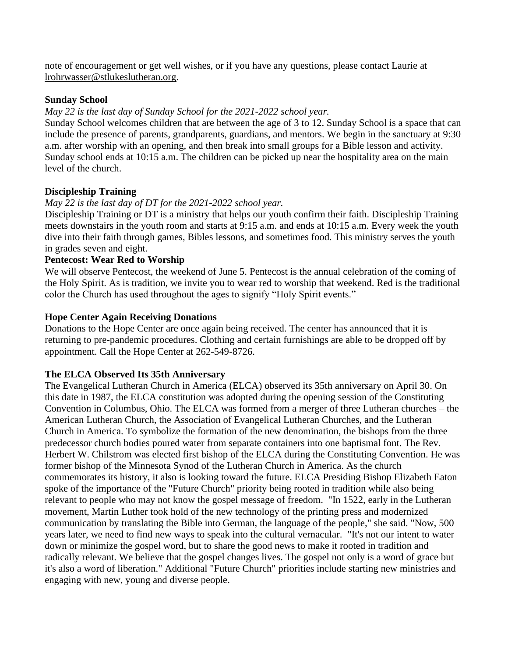note of encouragement or get well wishes, or if you have any questions, please contact Laurie at [lrohrwasser@stlukeslutheran.org.](mailto:lrohrwasser@stlukeslutheran.org)

# **Sunday School**

# *May 22 is the last day of Sunday School for the 2021-2022 school year.*

Sunday School welcomes children that are between the age of 3 to 12. Sunday School is a space that can include the presence of parents, grandparents, guardians, and mentors. We begin in the sanctuary at 9:30 a.m. after worship with an opening, and then break into small groups for a Bible lesson and activity. Sunday school ends at 10:15 a.m. The children can be picked up near the hospitality area on the main level of the church.

# **Discipleship Training**

# *May 22 is the last day of DT for the 2021-2022 school year.*

Discipleship Training or DT is a ministry that helps our youth confirm their faith. Discipleship Training meets downstairs in the youth room and starts at 9:15 a.m. and ends at 10:15 a.m. Every week the youth dive into their faith through games, Bibles lessons, and sometimes food. This ministry serves the youth in grades seven and eight.

# **Pentecost: Wear Red to Worship**

We will observe Pentecost, the weekend of June 5. Pentecost is the annual celebration of the coming of the Holy Spirit. As is tradition, we invite you to wear red to worship that weekend. Red is the traditional color the Church has used throughout the ages to signify "Holy Spirit events."

# **Hope Center Again Receiving Donations**

Donations to the Hope Center are once again being received. The center has announced that it is returning to pre-pandemic procedures. Clothing and certain furnishings are able to be dropped off by appointment. Call the Hope Center at 262-549-8726.

# **The ELCA Observed Its 35th Anniversary**

The Evangelical Lutheran Church in America (ELCA) observed its 35th anniversary on April 30. On this date in 1987, the ELCA constitution was adopted during the opening session of the Constituting Convention in Columbus, Ohio. The ELCA was formed from a merger of three Lutheran churches – the American Lutheran Church, the Association of Evangelical Lutheran Churches, and the Lutheran Church in America. To symbolize the formation of the new denomination, the bishops from the three predecessor church bodies poured water from separate containers into one baptismal font. The Rev. Herbert W. Chilstrom was elected first bishop of the ELCA during the Constituting Convention. He was former bishop of the Minnesota Synod of the Lutheran Church in America. As the church commemorates its history, it also is looking toward the future. ELCA Presiding Bishop Elizabeth Eaton spoke of the importance of the "Future Church" priority being rooted in tradition while also being relevant to people who may not know the gospel message of freedom. "In 1522, early in the Lutheran movement, Martin Luther took hold of the new technology of the printing press and modernized communication by translating the Bible into German, the language of the people," she said. "Now, 500 years later, we need to find new ways to speak into the cultural vernacular. "It's not our intent to water down or minimize the gospel word, but to share the good news to make it rooted in tradition and radically relevant. We believe that the gospel changes lives. The gospel not only is a word of grace but it's also a word of liberation." Additional "Future Church" priorities include starting new ministries and engaging with new, young and diverse people.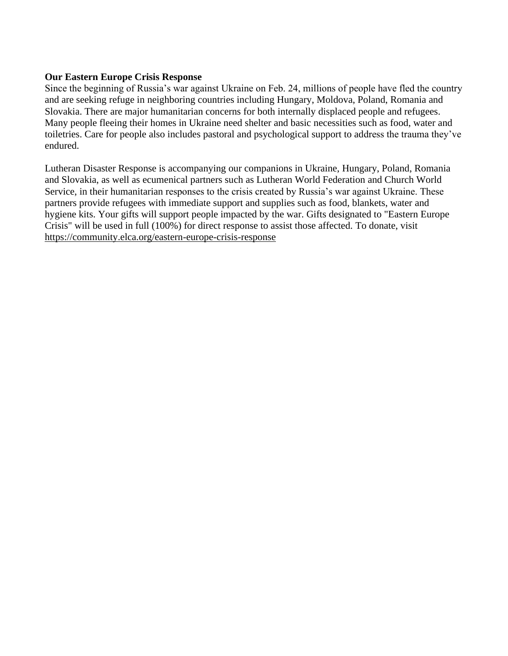# **Our Eastern Europe Crisis Response**

Since the beginning of Russia's war against Ukraine on Feb. 24, millions of people have fled the country and are seeking refuge in neighboring countries including Hungary, Moldova, Poland, Romania and Slovakia. There are major humanitarian concerns for both internally displaced people and refugees. Many people fleeing their homes in Ukraine need shelter and basic necessities such as food, water and toiletries. Care for people also includes pastoral and psychological support to address the trauma they've endured.

Lutheran Disaster Response is accompanying our companions in Ukraine, Hungary, Poland, Romania and Slovakia, as well as ecumenical partners such as Lutheran World Federation and Church World Service, in their humanitarian responses to the crisis created by Russia's war against Ukraine. These partners provide refugees with immediate support and supplies such as food, blankets, water and hygiene kits. Your gifts will support people impacted by the war. Gifts designated to "Eastern Europe Crisis" will be used in full (100%) for direct response to assist those affected. To donate, visit <https://community.elca.org/eastern-europe-crisis-response>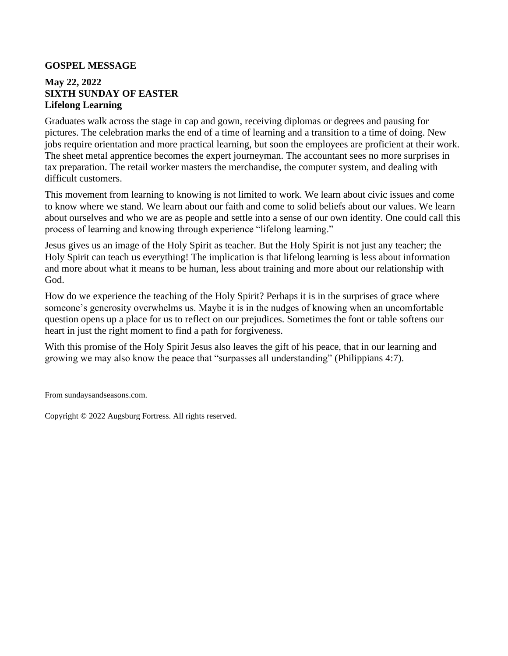#### **GOSPEL MESSAGE**

# **May 22, 2022 SIXTH SUNDAY OF EASTER Lifelong Learning**

Graduates walk across the stage in cap and gown, receiving diplomas or degrees and pausing for pictures. The celebration marks the end of a time of learning and a transition to a time of doing. New jobs require orientation and more practical learning, but soon the employees are proficient at their work. The sheet metal apprentice becomes the expert journeyman. The accountant sees no more surprises in tax preparation. The retail worker masters the merchandise, the computer system, and dealing with difficult customers.

This movement from learning to knowing is not limited to work. We learn about civic issues and come to know where we stand. We learn about our faith and come to solid beliefs about our values. We learn about ourselves and who we are as people and settle into a sense of our own identity. One could call this process of learning and knowing through experience "lifelong learning."

Jesus gives us an image of the Holy Spirit as teacher. But the Holy Spirit is not just any teacher; the Holy Spirit can teach us everything! The implication is that lifelong learning is less about information and more about what it means to be human, less about training and more about our relationship with God.

How do we experience the teaching of the Holy Spirit? Perhaps it is in the surprises of grace where someone's generosity overwhelms us. Maybe it is in the nudges of knowing when an uncomfortable question opens up a place for us to reflect on our prejudices. Sometimes the font or table softens our heart in just the right moment to find a path for forgiveness.

With this promise of the Holy Spirit Jesus also leaves the gift of his peace, that in our learning and growing we may also know the peace that "surpasses all understanding" (Philippians 4:7).

From sundaysandseasons.com.

Copyright © 2022 Augsburg Fortress. All rights reserved.